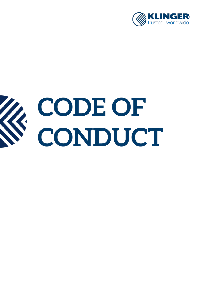

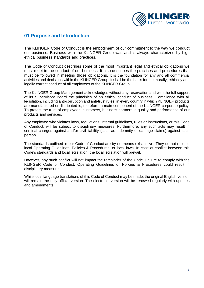

### **01 Purpose and Introduction**

The KLINGER Code of Conduct is the embodiment of our commitment to the way we conduct our business. Business with the KLINGER Group was and is always characterized by high ethical business standards and practices.

The Code of Conduct describes some of the most important legal and ethical obligations we must meet in the conduct of our business. It also describes the practices and procedures that must be followed in meeting those obligations. It is the foundation for any and all commercial activities and decisions within the KLINGER Group. It shall be the basis for the morally, ethically and legally correct conduct of all employees of the KLINGER Group.

The KLINGER Group Management acknowledges without any reservation and with the full support of its Supervisory Board the principles of an ethical conduct of business. Compliance with all legislation, including anti-corruption and anti-trust rules, in every country in which KLINGER products are manufactured or distributed is, therefore, a main component of the KLINGER corporate policy. To protect the trust of employees, customers, business partners in quality and performance of our products and services.

Any employee who violates laws, regulations, internal guidelines, rules or instructions, or this Code of Conduct, will be subject to disciplinary measures. Furthermore, any such acts may result in criminal charges against and/or civil liability (such as indemnity or damage claims) against such person.

The standards outlined in our Code of Conduct are by no means exhaustive. They do not replace local Operating Guidelines, Policies & Procedures, or local laws. In case of conflict between this Code's standards and local legislation, the local legislation will prevail.

However, any such conflict will not impact the remainder of the Code. Failure to comply with the KLINGER Code of Conduct, Operating Guidelines or Policies & Procedures could result in disciplinary measures.

While local language translations of this Code of Conduct may be made, the original English version will remain the only official version. The electronic version will be renewed regularly with updates and amendments.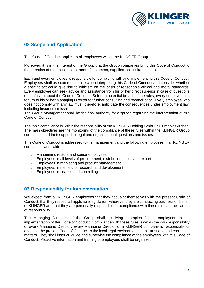

# **02 Scope and Application**

This Code of Conduct applies to all employees within the KLINGER Group.

Moreover, it is in the interest of the Group that the Group companies bring this Code of Conduct to the attention of their business partners (customers, suppliers, consultants, etc.).

Each and every employee is responsible for complying with and implementing this Code of Conduct. Employees shall use common sense when interpreting this Code of Conduct and consider whether a specific act could give rise to criticism on the basis of reasonable ethical and moral standards. Every employee can seek advice and assistance from his or her direct superior in case of questions or confusion about the Code of Conduct. Before a potential breach of the rules, every employee has to turn to his or her Managing Director for further consulting and reconciliation. Every employee who does not comply with any law must, therefore, anticipate the consequences under employment law, including instant dismissal.

The Group Management shall be the final authority for disputes regarding the interpretation of this Code of Conduct.

The topic compliance is within the responsibility of the KLINGER Holding GmbH in Gumpoldskirchen. The main objectives are the monitoring of the compliance of these rules within the KLINGER Group companies and their support in legal and organisational questions and issues.

This Code of Conduct is addressed to the management and the following employees in all KLINGER companies worldwide:

- » Managing directors and senior employees
- » Employees in all levels of procurement, distribution, sales and export
- » Employees in marketing and product management
- » Employees in the field of research and development
- » Employees in finance and controlling

# **03 Responsibility for Implementation**

We expect from all KLINGER employees that they acquaint themselves with the present Code of Conduct, that they respect all applicable legislation, wherever they are conducting business on behalf of KLINGER and that they are personally responsible for compliance with these rules in their areas of responsibility.

The Managing Directors of the Group shall be living examples for all employees in the implementation of this Code of Conduct. Compliance with these rules is within the own responsibility of every Managing Director. Every Managing Director of a KLINGER company is responsible for adapting the present Code of Conduct to the local legal environment in anti-trust and anti-corruption matters. They shall instruct, guide and supervise the compliance of the employees with this Code of Conduct. Proactive information and training of employees shall be organized.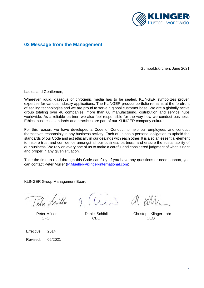

## **03 Message from the Management**

Gumpoldskirchen, June 2021

Ladies and Gentlemen,

Wherever liquid, gaseous or cryogenic media has to be sealed. KLINGER symbolizes proven expertise for various industry applications. The KLINGER product portfolio remains at the forefront of sealing technologies and we are proud to serve a global customer base. We are a globally active group totaling over 40 companies, more than 60 manufacturing, distribution and service hubs worldwide. As a reliable partner, we also feel responsible for the way how we conduct business. Ethical business standards and practices are part of our KLINGER company culture.

For this reason, we have developed a Code of Conduct to help our employees and conduct themselves responsibly in any business activity. Each of us has a personal obligation to uphold the standards of our Code and act ethically in our dealings with each other. It is also an essential element to inspire trust and confidence amongst all our business partners, and ensure the sustainability of our business. We rely on every one of us to make a careful and considered judgment of what is right and proper in any given situation.

Take the time to read through this Code carefully. If you have any questions or need support, you can contact Peter Müller [\(P.Mueller@klinger-international.com\)](mailto:P.Mueller@klinger-international.com).

KLINGER Group Management Board

Tela Muilla

Thin de um

Peter Müller **Daniel Schibli** Christoph Klinger-Lohr

CFO CEO CEO

Effective: 2014

Revised: 06/2021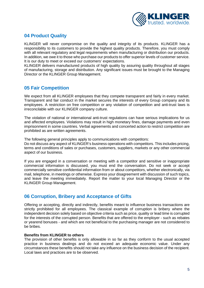

# **04 Product Quality**

KLINGER will never compromise on the quality and integrity of its products. KLINGER has a responsibility to its customers to provide the highest quality products. Therefore, you must comply with all relevant regulatory and legal requirements when manufacturing or distribution our products. In addition, we owe it to those who purchase our products to offer superior levels of customer service. It is our duty to meet or exceed our customers' expectations.

KLINGER delivers manufactured products of high quality by assuring quality throughout all stages of manufacturing, storage and distribution. Any significant issues must be brought to the Managing Director or the KLINGER Group Management.

# **05 Fair Competition**

We expect from all KLINGER employees that they compete transparent and fairly in every market. Transparent and fair conduct in the market secures the interests of every Group company and its employees. A restriction on free competition or any violation of competition and anti-trust laws is irreconcilable with our KLINGER company culture.

The violation of national or international anti-trust regulations can have serious implications for us and affected employees. Violations may result in high monetary fines, damage payments and even imprisonment in some countries. Verbal agreements and concerted action to restrict competition are prohibited as are written agreements.

The following general principles apply to communications with competitors:

Do not discuss any aspect of KLINGER's business operations with competitors. This includes pricing, terms and conditions of sales or purchases, customers, suppliers, markets or any other commercial aspect of our business.

If you are engaged in a conversation or meeting with a competitor and sensitive or inappropriate commercial information is discussed, you must end the conversation. Do not seek or accept commercially sensitive confidential information from or about competitors, whether electronically, via mail, telephone, in meetings or otherwise. Express your disagreement with discussion of such topics, and leave the meeting immediately. Report the matter to your local Managing Director or the KLINGER Group Management.

# **06 Corruption, Bribery and Acceptance of Gifts**

Offering or accepting, directly and indirectly, benefits meant to influence business transactions are strictly prohibited for all employees. The classical example of corruption is bribery where the independent decision solely based on objective criteria such as price, quality or lead time is corrupted for the interests of the corrupted person. Benefits that are offered to the employer - such as rebates or yearend bonuses - and which are not beneficial to the purchasing manager are not considered to be bribes.

### **Benefits from KLINGER to others**

The provision of other benefits is only allowable in so far as they conform to the usual accepted practice in business dealings and do not exceed an adequate economic value. Under any circumstances these benefits should not take any influence on the business decision of the recipient. Local laws and practices are to be observed.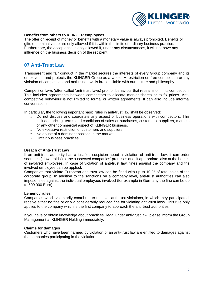

#### **Benefits from others to KLINGER employees**

The offer or receipt of money or benefits with a monetary value is always prohibited. Benefits or gifts of nominal value are only allowed if it is within the limits of ordinary business practice. Furthermore, the acceptance is only allowed if, under any circumstances, it will not have any influence on the business decision of the recipient.

### **07 Anti-Trust Law**

Transparent and fair conduct in the market secures the interests of every Group company and its employees, and protects the KLINGER Group as a whole. A restriction on free competition or any violation of competition and anti-trust laws is irreconcilable with our culture and philosophy.

Competition laws (often called 'anti-trust' laws) prohibit behaviour that restrains or limits competition. This includes agreements between competitors to allocate market shares or to fix prices. Anticompetitive behaviour is not limited to formal or written agreements. It can also include informal conversations.

In particular, the following important basic rules in anti-trust law shall be observed:

- » Do not discuss and coordinate any aspect of business operations with competitors. This includes pricing, terms and conditions of sales or purchases, customers, suppliers, markets or any other commercial aspect of KLINGER business.
- » No excessive restriction of customers and suppliers
- » No abuse of a dominant position in the market
- » Unfair business practices

#### **Breach of Anti-Trust Law**

If an anti-trust authority has a justified suspicion about a violation of anti-trust law, it can order searches ('dawn raids') at the suspected companies' premises and, if appropriate, also at the homes of involved employees. In case of violation of anti-trust law, fines against the company and the involved employee can be applied.

Companies that violate European anti-trust law can be fined with up to 10 % of total sales of the corporate group. In addition to the sanctions on a company level, anti-trust authorities can also impose fines against the individual employees involved (for example in Germany the fine can be up to 500.000 Euro).

#### **Leniency rules**

Companies which voluntarily contribute to uncover anti-trust violations, in which they participated, receive either no fine or only a considerably reduced fine for violating anti-trust laws. This rule only applies to the company which is the first company to approach the anti-trust authorities.

If you have or obtain knowledge about practices illegal under anti-trust law, please inform the Group Management at KLINGER Holding immediately.

#### **Claims for damages**

Customers who have been harmed by violation of an anti-trust law are entitled to damages against the companies participating in the violation.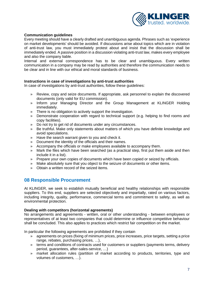

### **Communication guidelines**

Every meeting should have a clearly drafted and unambiguous agenda. Phrases such as 'experience on market developments' should be avoided. If discussions arise about topics which are in violation of anti-trust law, you must immediately protest about and insist that the discussion shall be immediately ended. A passive position in a discussion violating anti-trust law, makes every employee and also the company liable.

Internal and external correspondence has to be clear and unambiguous. Every written communication in a company may be read by authorities and therefore the communication needs to be clear and in line with our ethical and moral standards of business.

### **Instructions in case of investigations by anti-trust authorities**

In case of investigations by anti-trust authorities, follow these guidelines:

- » Review, copy and seize documents. If appropriate, ask personnel to explain the discovered documents (only valid for EU commission).
- » Inform your Managing Director and the Group Management at KLINGER Holding immediately.
- » There is no obligation to actively support the investigation.
- » Demonstrate cooperation with regard to technical support (e.g. helping to find rooms and copy facilities).
- » Do not try to get rid of documents under any circumstances.
- » Be truthful. Make only statements about matters of which you have definite knowledge and avoid speculations.
- » Have the search warrant given to you and check it.
- » Document the identity of the officials and their names.
- » Accompany the officials or make employees available to accompany them.
- » Mark the files which have been searched (as a practical step, first put them aside and then include it in a list).
- » Prepare your own copies of documents which have been copied or seized by officials.
- » Make absolutely sure that you object to the seizure of documents or other items.
- » Obtain a written record of the seized items.

# **08 Responsible Procurement**

At KLINGER, we seek to establish mutually beneficial and healthy relationships with responsible suppliers. To this end, suppliers are selected objectively and impartially, rated on various factors, including integrity, quality, performance, commercial terms and commitment to safety, as well as environmental protection.

#### **Dealing with competitors (horizontal agreements)**

No arrangements and agreements - written, oral or other understanding - between employees or representatives of at least two companies that could determine or influence competitive behaviour shall be concluded. This also applies to practices which restrict fair competition on the market.

In particular the following agreements are prohibited if they contain

- » agreements on prices (fixing of minimum prices, price increases, price targets, setting a price range, rebates, purchasing prices, …),
- » terms and conditions of contracts used for customers or suppliers (payments terms, delivery period, guarantees, after-sales-service, …)
- » market allocation rules (partition of market according to products, territories, type and volumes of customers, …).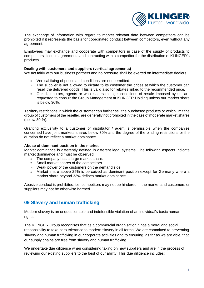

The exchange of information with regard to market relevant data between competitors can be prohibited if it represents the basis for coordinated conduct between competitors, even without any agreement.

Employees may exchange and cooperate with competitors in case of the supply of products to competitors, licence agreements and contracting with a competitor for the distribution of KLINGER's products.

#### **Dealing with customers and suppliers (vertical agreements)**

We act fairly with our business partners and no pressure shall be exerted on intermediate dealers.

- » Vertical fixing of prices and conditions are not permitted.
- » The supplier is not allowed to dictate to its customer the prices at which the customer can resell the delivered goods. This is valid also for rebates linked to the recommended price.
- » Our distributors, agents or wholesalers that get conditions of resale imposed by us, are requested to consult the Group Management at KLINGER Holding unless our market share is below 30%.

Territory restrictions in which the customer can further sell the purchased products or which limit the group of customers of the reseller, are generally not prohibited in the case of moderate market shares (below 30 %).

Granting exclusivity to a customer or distributor / agent is permissible when the companies concerned have joint markets shares below 30% and the degree of the binding restrictions or the duration do not reflect a market dominance.

### **Abuse of dominant position in the market**

Market dominance is differently defined in different legal systems. The following aspects indicate market dominance and must be observed:

- » The company has a large market share.
- » Small market shares of the competitors
- » Weak power of the customers on the demand side
- » Market share above 25% is perceived as dominant position except for Germany where a market share beyond 33% defines market dominance.

Abusive conduct is prohibited, i.e. competitors may not be hindered in the market and customers or suppliers may not be otherwise harmed.

# **09 Slavery and human trafficking**

Modern slavery is an unquestionable and indefensible violation of an individual's basic human rights.

The KLINGER Group recognises that as a commercial organisation it has a moral and social responsibility to take zero tolerance to modern slavery in all forms. We are committed to preventing slavery and human trafficking in our corporate activities and to ensuring, as far as we are able, that our supply chains are free from slavery and human trafficking.

We undertake due diligence when considering taking on new suppliers and are in the process of reviewing our existing suppliers to the best of our ability. This due diligence includes: